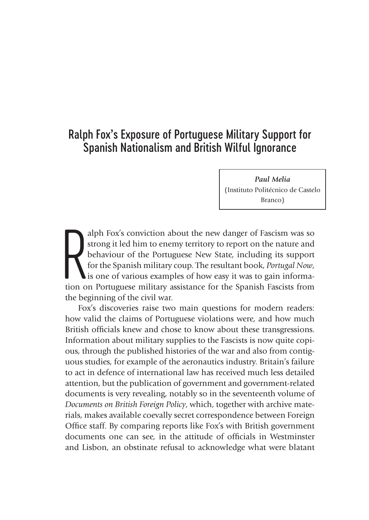# Ralph Fox's Exposure of Portuguese Military Support for Spanish Nationalism and British Wilful Ignorance

*Paul Melia*  (Instituto Politécnico de Castelo Branco)

alph Fox's conviction about the new danger of Fascism was so<br>strong it led him to enemy territory to report on the nature and<br>behaviour of the Portuguese New State, including its support<br>for the Spanish military coup. The alph Fox's conviction about the new danger of Fascism was so strong it led him to enemy territory to report on the nature and behaviour of the Portuguese New State, including its support for the Spanish military coup. The resultant book, *Portugal Now*, is one of various examples of how easy it was to gain informathe beginning of the civil war.

Fox's discoveries raise two main questions for modern readers: how valid the claims of Portuguese violations were, and how much British officials knew and chose to know about these transgressions. Information about military supplies to the Fascists is now quite copious, through the published histories of the war and also from contiguous studies, for example of the aeronautics industry. Britain's failure to act in defence of international law has received much less detailed attention, but the publication of government and government-related documents is very revealing, notably so in the seventeenth volume of *Documents on British Foreign Policy*, which, together with archive materials, makes available coevally secret correspondence between Foreign Office staff. By comparing reports like Fox's with British government documents one can see, in the attitude of officials in Westminster and Lisbon, an obstinate refusal to acknowledge what were blatant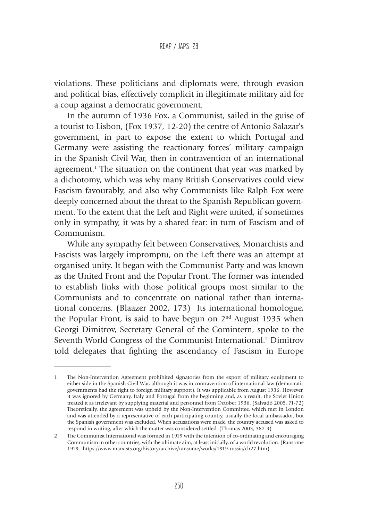violations. These politicians and diplomats were, through evasion and political bias, effectively complicit in illegitimate military aid for a coup against a democratic government.

In the autumn of 1936 Fox, a Communist, sailed in the guise of a tourist to Lisbon, (Fox 1937, 12-20) the centre of Antonio Salazar's government, in part to expose the extent to which Portugal and Germany were assisting the reactionary forces' military campaign in the Spanish Civil War, then in contravention of an international agreement.<sup>1</sup> The situation on the continent that year was marked by a dichotomy, which was why many British Conservatives could view Fascism favourably, and also why Communists like Ralph Fox were deeply concerned about the threat to the Spanish Republican government. To the extent that the Left and Right were united, if sometimes only in sympathy, it was by a shared fear: in turn of Fascism and of Communism.

While any sympathy felt between Conservatives, Monarchists and Fascists was largely impromptu, on the Left there was an attempt at organised unity. It began with the Communist Party and was known as the United Front and the Popular Front. The former was intended to establish links with those political groups most similar to the Communists and to concentrate on national rather than international concerns. (Blaazer 2002, 173) Its international homologue, the Popular Front, is said to have begun on  $2<sup>nd</sup>$  August 1935 when Georgi Dimitrov, Secretary General of the Comintern, spoke to the Seventh World Congress of the Communist International.<sup>2</sup> Dimitrov told delegates that fighting the ascendancy of Fascism in Europe

<sup>1</sup> The Non-Intervention Agreement prohibited signatories from the export of military equipment to either side in the Spanish Civil War, although it was in contravention of international law (democratic governments had the right to foreign military support). It was applicable from August 1936. However, it was ignored by Germany, Italy and Portugal from the beginning and, as a result, the Soviet Union treated it as irrelevant by supplying material and personnel from October 1936. (Salvadó 2005, 71-72) Theoretically, the agreement was upheld by the Non-Intervention Committee, which met in London and was attended by a representative of each participating country, usually the local ambassador, but the Spanish government was excluded. When accusations were made, the country accused was asked to respond in writing, after which the matter was considered settled. (Thomas 2003, 382-3)

<sup>2</sup> The Communist International was formed in 1919 with the intention of co-ordinating and encouraging Communism in other countries, with the ultimate aim, at least initially, of a world revolution. (Ransome 1919, https://www.marxists.org/history/archive/ransome/works/1919-russia/ch27.htm)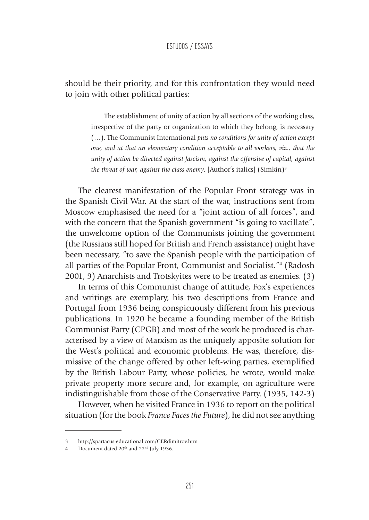### should be their priority, and for this confrontation they would need to join with other political parties:

The establishment of unity of action by all sections of the working class, irrespective of the party or organization to which they belong, is necessary (…). The Communist International *puts no conditions for unity of action except one, and at that an elementary condition acceptable to all workers, viz., that the unity of action be directed against fascism, against the offensive of capital, against the threat of war, against the class enemy.* [Author's italics] (Simkin)<sup>3</sup>

The clearest manifestation of the Popular Front strategy was in the Spanish Civil War. At the start of the war, instructions sent from Moscow emphasised the need for a "joint action of all forces", and with the concern that the Spanish government "is going to vacillate", the unwelcome option of the Communists joining the government (the Russians still hoped for British and French assistance) might have been necessary, "to save the Spanish people with the participation of all parties of the Popular Front, Communist and Socialist."4 (Radosh 2001, 9) Anarchists and Trotskyites were to be treated as enemies. (3)

In terms of this Communist change of attitude, Fox's experiences and writings are exemplary, his two descriptions from France and Portugal from 1936 being conspicuously different from his previous publications. In 1920 he became a founding member of the British Communist Party (CPGB) and most of the work he produced is characterised by a view of Marxism as the uniquely apposite solution for the West's political and economic problems. He was, therefore, dismissive of the change offered by other left-wing parties, exemplified by the British Labour Party, whose policies, he wrote, would make private property more secure and, for example, on agriculture were indistinguishable from those of the Conservative Party. (1935, 142-3)

However, when he visited France in 1936 to report on the political situation (for the book *France Faces the Future*), he did not see anything

<sup>3</sup> http://spartacus-educational.com/GERdimitrov.htm

<sup>4</sup> Document dated 20<sup>th</sup> and 22<sup>nd</sup> July 1936.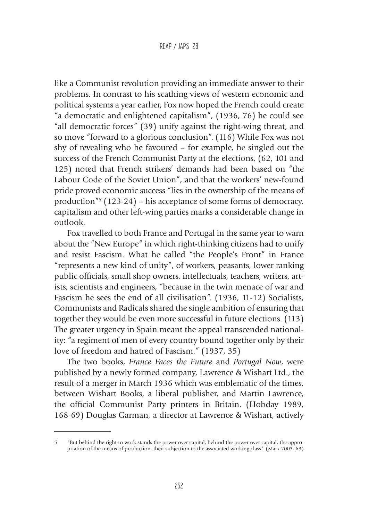like a Communist revolution providing an immediate answer to their problems. In contrast to his scathing views of western economic and political systems a year earlier, Fox now hoped the French could create "a democratic and enlightened capitalism", (1936, 76) he could see "all democratic forces" (39) unify against the right-wing threat, and so move "forward to a glorious conclusion". (116) While Fox was not shy of revealing who he favoured – for example, he singled out the success of the French Communist Party at the elections, (62, 101 and 125) noted that French strikers' demands had been based on "the Labour Code of the Soviet Union", and that the workers' new-found pride proved economic success "lies in the ownership of the means of production"5 (123-24) – his acceptance of some forms of democracy, capitalism and other left-wing parties marks a considerable change in outlook.

Fox travelled to both France and Portugal in the same year to warn about the "New Europe" in which right-thinking citizens had to unify and resist Fascism. What he called "the People's Front" in France "represents a new kind of unity", of workers, peasants, lower ranking public officials, small shop owners, intellectuals, teachers, writers, artists, scientists and engineers, "because in the twin menace of war and Fascism he sees the end of all civilisation". (1936, 11-12) Socialists, Communists and Radicals shared the single ambition of ensuring that together they would be even more successful in future elections. (113) The greater urgency in Spain meant the appeal transcended nationality: "a regiment of men of every country bound together only by their love of freedom and hatred of Fascism." (1937, 35)

The two books, *France Faces the Future* and *Portugal Now*, were published by a newly formed company, Lawrence & Wishart Ltd., the result of a merger in March 1936 which was emblematic of the times, between Wishart Books, a liberal publisher, and Martin Lawrence, the official Communist Party printers in Britain. (Hobday 1989, 168-69) Douglas Garman, a director at Lawrence & Wishart, actively

<sup>5</sup> "But behind the right to work stands the power over capital; behind the power over capital, the appropriation of the means of production, their subjection to the associated working class". (Marx 2003, 63)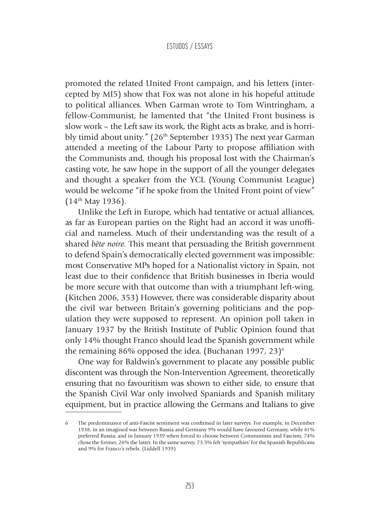promoted the related United Front campaign, and his letters (intercepted by MI5) show that Fox was not alone in his hopeful attitude to political alliances. When Garman wrote to Tom Wintringham, a fellow-Communist, he lamented that "the United Front business is slow work – the Left saw its work, the Right acts as brake, and is horribly timid about unity." (26<sup>th</sup> September 1935) The next year Garman attended a meeting of the Labour Party to propose affiliation with the Communists and, though his proposal lost with the Chairman's casting vote, he saw hope in the support of all the younger delegates and thought a speaker from the YCL (Young Communist League) would be welcome "if he spoke from the United Front point of view"  $(14<sup>th</sup>$  May 1936).

Unlike the Left in Europe, which had tentative or actual alliances, as far as European parties on the Right had an accord it was unofficial and nameless. Much of their understanding was the result of a shared *bête noire.* This meant that persuading the British government to defend Spain's democratically elected government was impossible: most Conservative MPs hoped for a Nationalist victory in Spain, not least due to their confidence that British businesses in Iberia would be more secure with that outcome than with a triumphant left-wing. (Kitchen 2006, 353) However, there was considerable disparity about the civil war between Britain's governing politicians and the population they were supposed to represent. An opinion poll taken in January 1937 by the British Institute of Public Opinion found that only 14% thought Franco should lead the Spanish government while the remaining 86% opposed the idea. (Buchanan 1997, 23) $^6$ 

One way for Baldwin's government to placate any possible public discontent was through the Non-Intervention Agreement, theoretically ensuring that no favouritism was shown to either side, to ensure that the Spanish Civil War only involved Spaniards and Spanish military equipment, but in practice allowing the Germans and Italians to give

The predominance of anti-Fascist sentiment was confirmed in later surveys. For example, in December 1938, in an imagined war between Russia and Germany 9% would have favoured Germany, while 61% preferred Russia; and in January 1939 when forced to choose between Communism and Fascism, 74% chose the former, 26% the latter. In the same survey, 73.5% felt 'sympathies' for the Spanish Republicans and 9% for Franco's rebels. (Liddell 1939)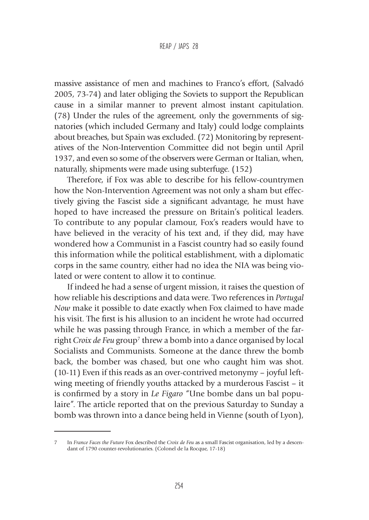#### REAP / JAPS 28

massive assistance of men and machines to Franco's effort, (Salvadó 2005, 73-74) and later obliging the Soviets to support the Republican cause in a similar manner to prevent almost instant capitulation. (78) Under the rules of the agreement, only the governments of signatories (which included Germany and Italy) could lodge complaints about breaches, but Spain was excluded. (72) Monitoring by representatives of the Non-Intervention Committee did not begin until April 1937, and even so some of the observers were German or Italian, when, naturally, shipments were made using subterfuge. (152)

Therefore, if Fox was able to describe for his fellow-countrymen how the Non-Intervention Agreement was not only a sham but effectively giving the Fascist side a significant advantage, he must have hoped to have increased the pressure on Britain's political leaders. To contribute to any popular clamour, Fox's readers would have to have believed in the veracity of his text and, if they did, may have wondered how a Communist in a Fascist country had so easily found this information while the political establishment, with a diplomatic corps in the same country, either had no idea the NIA was being violated or were content to allow it to continue.

If indeed he had a sense of urgent mission, it raises the question of how reliable his descriptions and data were. Two references in *Portugal Now* make it possible to date exactly when Fox claimed to have made his visit. The first is his allusion to an incident he wrote had occurred while he was passing through France, in which a member of the farright *Croix de Feu* group<sup>7</sup> threw a bomb into a dance organised by local Socialists and Communists. Someone at the dance threw the bomb back, the bomber was chased, but one who caught him was shot. (10-11) Even if this reads as an over-contrived metonymy – joyful leftwing meeting of friendly youths attacked by a murderous Fascist – it is confirmed by a story in *Le Figaro* "Une bombe dans un bal populaire". The article reported that on the previous Saturday to Sunday a bomb was thrown into a dance being held in Vienne (south of Lyon),

<sup>7</sup> In *France Faces the Future* Fox described the *Croix de Feu* as a small Fascist organisation, led by a descendant of 1790 counter-revolutionaries. (Colonel de la Rocque, 17-18)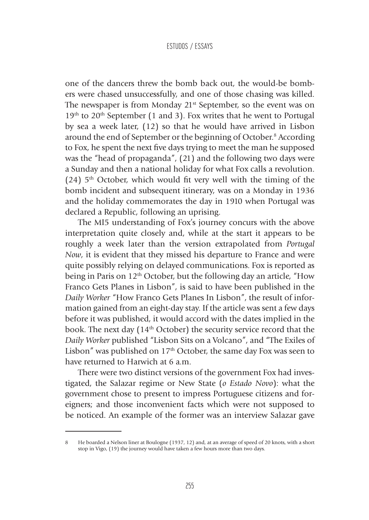one of the dancers threw the bomb back out, the would-be bombers were chased unsuccessfully, and one of those chasing was killed. The newspaper is from Monday 21<sup>st</sup> September, so the event was on  $19<sup>th</sup>$  to  $20<sup>th</sup>$  September (1 and 3). Fox writes that he went to Portugal by sea a week later, (12) so that he would have arrived in Lisbon around the end of September or the beginning of October.<sup>8</sup> According to Fox, he spent the next five days trying to meet the man he supposed was the "head of propaganda", (21) and the following two days were a Sunday and then a national holiday for what Fox calls a revolution. (24)  $5<sup>th</sup>$  October, which would fit very well with the timing of the bomb incident and subsequent itinerary, was on a Monday in 1936 and the holiday commemorates the day in 1910 when Portugal was declared a Republic, following an uprising.

The MI5 understanding of Fox's journey concurs with the above interpretation quite closely and, while at the start it appears to be roughly a week later than the version extrapolated from *Portugal Now*, it is evident that they missed his departure to France and were quite possibly relying on delayed communications. Fox is reported as being in Paris on  $12<sup>th</sup>$  October, but the following day an article, "How Franco Gets Planes in Lisbon", is said to have been published in the *Daily Worker* "How Franco Gets Planes In Lisbon", the result of information gained from an eight-day stay. If the article was sent a few days before it was published, it would accord with the dates implied in the book. The next day  $(14<sup>th</sup> October)$  the security service record that the *Daily Worker* published "Lisbon Sits on a Volcano", and "The Exiles of Lisbon" was published on 17<sup>th</sup> October, the same day Fox was seen to have returned to Harwich at 6 a.m.

There were two distinct versions of the government Fox had investigated, the Salazar regime or New State (*o Estado Novo*): what the government chose to present to impress Portuguese citizens and foreigners; and those inconvenient facts which were not supposed to be noticed. An example of the former was an interview Salazar gave

<sup>8</sup> He boarded a Nelson liner at Boulogne (1937, 12) and, at an average of speed of 20 knots, with a short stop in Vigo, (19) the journey would have taken a few hours more than two days.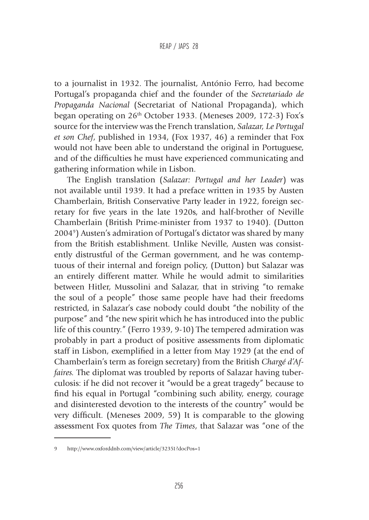#### REAP / JAPS 28

to a journalist in 1932. The journalist, António Ferro, had become Portugal's propaganda chief and the founder of the *Secretariado de Propaganda Nacional* (Secretariat of National Propaganda), which began operating on 26<sup>th</sup> October 1933. (Meneses 2009, 172-3) Fox's source for the interview was the French translation, *Salazar, Le Portugal et son Chef*, published in 1934, (Fox 1937, 46) a reminder that Fox would not have been able to understand the original in Portuguese, and of the difficulties he must have experienced communicating and gathering information while in Lisbon.

The English translation (*Salazar: Portugal and her Leader*) was not available until 1939. It had a preface written in 1935 by Austen Chamberlain, British Conservative Party leader in 1922, foreign secretary for five years in the late 1920s, and half-brother of Neville Chamberlain (British Prime-minister from 1937 to 1940). (Dutton 20049 ) Austen's admiration of Portugal's dictator was shared by many from the British establishment. Unlike Neville, Austen was consistently distrustful of the German government, and he was contemptuous of their internal and foreign policy, (Dutton) but Salazar was an entirely different matter. While he would admit to similarities between Hitler, Mussolini and Salazar, that in striving "to remake the soul of a people" those same people have had their freedoms restricted, in Salazar's case nobody could doubt "the nobility of the purpose" and "the new spirit which he has introduced into the public life of this country." (Ferro 1939, 9-10) The tempered admiration was probably in part a product of positive assessments from diplomatic staff in Lisbon, exemplified in a letter from May 1929 (at the end of Chamberlain's term as foreign secretary) from the British *Chargé d'Affaires.* The diplomat was troubled by reports of Salazar having tuberculosis: if he did not recover it "would be a great tragedy" because to find his equal in Portugal "combining such ability, energy, courage and disinterested devotion to the interests of the country" would be very difficult. (Meneses 2009, 59) It is comparable to the glowing assessment Fox quotes from *The Times*, that Salazar was "one of the

<sup>9</sup> http://www.oxforddnb.com/view/article/32351?docPos=1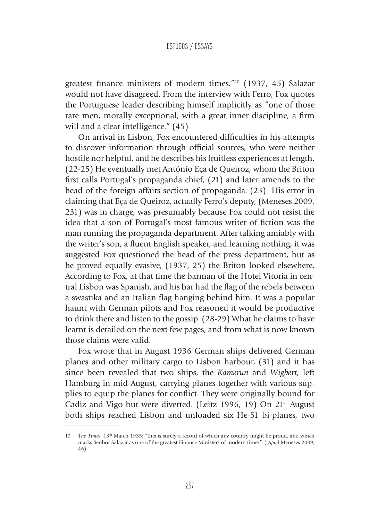greatest finance ministers of modern times."10 (1937, 45) Salazar would not have disagreed. From the interview with Ferro, Fox quotes the Portuguese leader describing himself implicitly as "one of those rare men, morally exceptional, with a great inner discipline, a firm will and a clear intelligence." (45)

On arrival in Lisbon, Fox encountered difficulties in his attempts to discover information through official sources, who were neither hostile nor helpful, and he describes his fruitless experiences at length. (22-25) He eventually met António Eça de Queiroz, whom the Briton first calls Portugal's propaganda chief, (21) and later amends to the head of the foreign affairs section of propaganda. (23) His error in claiming that Eça de Queiroz, actually Ferro's deputy, (Meneses 2009, 231) was in charge, was presumably because Fox could not resist the idea that a son of Portugal's most famous writer of fiction was the man running the propaganda department. After talking amiably with the writer's son, a fluent English speaker, and learning nothing, it was suggested Fox questioned the head of the press department, but as he proved equally evasive, (1937, 25) the Briton looked elsewhere. According to Fox, at that time the barman of the Hotel Vitoria in central Lisbon was Spanish, and his bar had the flag of the rebels between a swastika and an Italian flag hanging behind him. It was a popular haunt with German pilots and Fox reasoned it would be productive to drink there and listen to the gossip. (28-29) What he claims to have learnt is detailed on the next few pages, and from what is now known those claims were valid.

Fox wrote that in August 1936 German ships delivered German planes and other military cargo to Lisbon harbour, (31) and it has since been revealed that two ships, the *Kamerun* and *Wigbert*, left Hamburg in mid-August, carrying planes together with various supplies to equip the planes for conflict. They were originally bound for Cadiz and Vigo but were diverted. (Leitz 1996, 19) On 21st August both ships reached Lisbon and unloaded six He-51 bi-planes, two

<sup>10</sup> *The Times*, 13<sup>th</sup> March 1935: "this is surely a record of which any country might be proud, and which marks Senhor Salazar as one of the greatest Finance Ministers of modern times". ( *Apud* Meneses 2009, 46)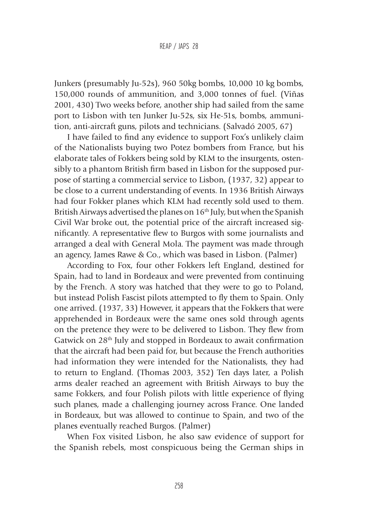#### REAP / JAPS 28

Junkers (presumably Ju-52s), 960 50kg bombs, 10,000 10 kg bombs, 150,000 rounds of ammunition, and 3,000 tonnes of fuel. (Viñas 2001, 430) Two weeks before, another ship had sailed from the same port to Lisbon with ten Junker Ju-52s, six He-51s, bombs, ammunition, anti-aircraft guns, pilots and technicians. (Salvadó 2005, 67)

I have failed to find any evidence to support Fox's unlikely claim of the Nationalists buying two Potez bombers from France, but his elaborate tales of Fokkers being sold by KLM to the insurgents, ostensibly to a phantom British firm based in Lisbon for the supposed purpose of starting a commercial service to Lisbon, (1937, 32) appear to be close to a current understanding of events. In 1936 British Airways had four Fokker planes which KLM had recently sold used to them. British Airways advertised the planes on  $16<sup>th</sup>$  July, but when the Spanish Civil War broke out, the potential price of the aircraft increased significantly. A representative flew to Burgos with some journalists and arranged a deal with General Mola. The payment was made through an agency, James Rawe & Co., which was based in Lisbon. (Palmer)

According to Fox, four other Fokkers left England, destined for Spain, had to land in Bordeaux and were prevented from continuing by the French. A story was hatched that they were to go to Poland, but instead Polish Fascist pilots attempted to fly them to Spain. Only one arrived. (1937, 33) However, it appears that the Fokkers that were apprehended in Bordeaux were the same ones sold through agents on the pretence they were to be delivered to Lisbon. They flew from Gatwick on 28<sup>th</sup> July and stopped in Bordeaux to await confirmation that the aircraft had been paid for, but because the French authorities had information they were intended for the Nationalists, they had to return to England. (Thomas 2003, 352) Ten days later, a Polish arms dealer reached an agreement with British Airways to buy the same Fokkers, and four Polish pilots with little experience of flying such planes, made a challenging journey across France. One landed in Bordeaux, but was allowed to continue to Spain, and two of the planes eventually reached Burgos. (Palmer)

When Fox visited Lisbon, he also saw evidence of support for the Spanish rebels, most conspicuous being the German ships in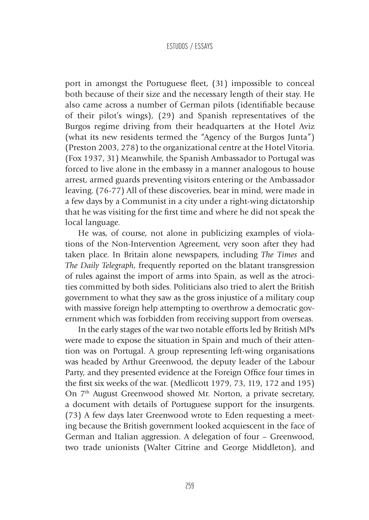port in amongst the Portuguese fleet, (31) impossible to conceal both because of their size and the necessary length of their stay. He also came across a number of German pilots (identifiable because of their pilot's wings), (29) and Spanish representatives of the Burgos regime driving from their headquarters at the Hotel Aviz (what its new residents termed the "Agency of the Burgos Junta") (Preston 2003, 278) to the organizational centre at the Hotel Vitoria. (Fox 1937, 31) Meanwhile, the Spanish Ambassador to Portugal was forced to live alone in the embassy in a manner analogous to house arrest, armed guards preventing visitors entering or the Ambassador leaving. (76-77) All of these discoveries, bear in mind, were made in a few days by a Communist in a city under a right-wing dictatorship that he was visiting for the first time and where he did not speak the local language.

He was, of course, not alone in publicizing examples of violations of the Non-Intervention Agreement, very soon after they had taken place. In Britain alone newspapers, including *The Times* and *The Daily Telegraph*, frequently reported on the blatant transgression of rules against the import of arms into Spain, as well as the atrocities committed by both sides. Politicians also tried to alert the British government to what they saw as the gross injustice of a military coup with massive foreign help attempting to overthrow a democratic government which was forbidden from receiving support from overseas.

In the early stages of the war two notable efforts led by British MPs were made to expose the situation in Spain and much of their attention was on Portugal. A group representing left-wing organisations was headed by Arthur Greenwood, the deputy leader of the Labour Party, and they presented evidence at the Foreign Office four times in the first six weeks of the war. (Medlicott 1979, 73, 119, 172 and 195) On 7<sup>th</sup> August Greenwood showed Mr. Norton, a private secretary, a document with details of Portuguese support for the insurgents. (73) A few days later Greenwood wrote to Eden requesting a meeting because the British government looked acquiescent in the face of German and Italian aggression. A delegation of four – Greenwood, two trade unionists (Walter Citrine and George Middleton), and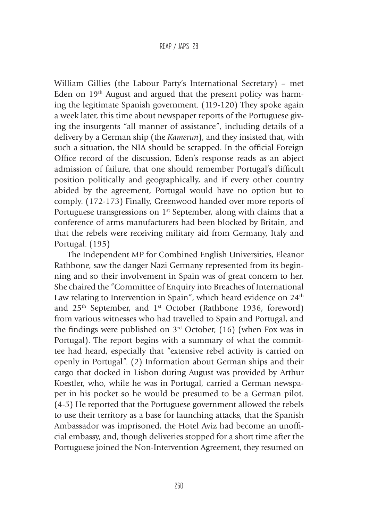William Gillies (the Labour Party's International Secretary) – met Eden on  $19<sup>th</sup>$  August and argued that the present policy was harming the legitimate Spanish government. (119-120) They spoke again a week later, this time about newspaper reports of the Portuguese giving the insurgents "all manner of assistance", including details of a delivery by a German ship (the *Kamerun*), and they insisted that, with such a situation, the NIA should be scrapped. In the official Foreign Office record of the discussion, Eden's response reads as an abject admission of failure, that one should remember Portugal's difficult position politically and geographically, and if every other country abided by the agreement, Portugal would have no option but to comply. (172-173) Finally, Greenwood handed over more reports of Portuguese transgressions on  $1<sup>st</sup>$  September, along with claims that a conference of arms manufacturers had been blocked by Britain, and that the rebels were receiving military aid from Germany, Italy and Portugal. (195)

The Independent MP for Combined English Universities, Eleanor Rathbone, saw the danger Nazi Germany represented from its beginning and so their involvement in Spain was of great concern to her. She chaired the "Committee of Enquiry into Breaches of International Law relating to Intervention in Spain", which heard evidence on  $24<sup>th</sup>$ and 25<sup>th</sup> September, and 1<sup>st</sup> October (Rathbone 1936, foreword) from various witnesses who had travelled to Spain and Portugal, and the findings were published on  $3<sup>rd</sup>$  October, (16) (when Fox was in Portugal). The report begins with a summary of what the committee had heard, especially that "extensive rebel activity is carried on openly in Portugal". (2) Information about German ships and their cargo that docked in Lisbon during August was provided by Arthur Koestler, who, while he was in Portugal, carried a German newspaper in his pocket so he would be presumed to be a German pilot. (4-5) He reported that the Portuguese government allowed the rebels to use their territory as a base for launching attacks, that the Spanish Ambassador was imprisoned, the Hotel Aviz had become an unofficial embassy, and, though deliveries stopped for a short time after the Portuguese joined the Non-Intervention Agreement, they resumed on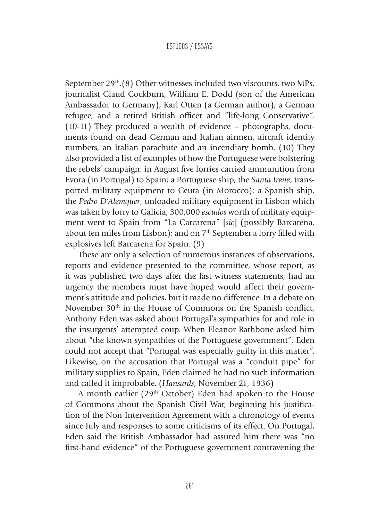September 29<sup>th</sup>.(8) Other witnesses included two viscounts, two MPs, journalist Claud Cockburn, William E. Dodd (son of the American Ambassador to Germany), Karl Otten (a German author), a German refugee, and a retired British officer and "life-long Conservative". (10-11) They produced a wealth of evidence – photographs, documents found on dead German and Italian airmen, aircraft identity numbers, an Italian parachute and an incendiary bomb. (10) They also provided a list of examples of how the Portuguese were bolstering the rebels' campaign: in August five lorries carried ammunition from Evora (in Portugal) to Spain; a Portuguese ship, the *Santa Irene*, transported military equipment to Ceuta (in Morocco); a Spanish ship, the *Pedro D'Alemquer*, unloaded military equipment in Lisbon which was taken by lorry to Galicia; 300,000 *escudos* worth of military equipment went to Spain from "La Carcarena" [*sic*] (possibly Barcarena, about ten miles from Lisbon); and on  $7<sup>th</sup>$  September a lorry filled with explosives left Barcarena for Spain. (9)

These are only a selection of numerous instances of observations, reports and evidence presented to the committee, whose report, as it was published two days after the last witness statements, had an urgency the members must have hoped would affect their government's attitude and policies, but it made no difference. In a debate on November 30<sup>th</sup> in the House of Commons on the Spanish conflict, Anthony Eden was asked about Portugal's sympathies for and role in the insurgents' attempted coup. When Eleanor Rathbone asked him about "the known sympathies of the Portuguese government", Eden could not accept that "Portugal was especially guilty in this matter". Likewise, on the accusation that Portugal was a "conduit pipe" for military supplies to Spain, Eden claimed he had no such information and called it improbable. (*Hansards*, November 21, 1936)

A month earlier (29<sup>th</sup> October) Eden had spoken to the House of Commons about the Spanish Civil War, beginning his justification of the Non-Intervention Agreement with a chronology of events since July and responses to some criticisms of its effect. On Portugal, Eden said the British Ambassador had assured him there was "no first-hand evidence" of the Portuguese government contravening the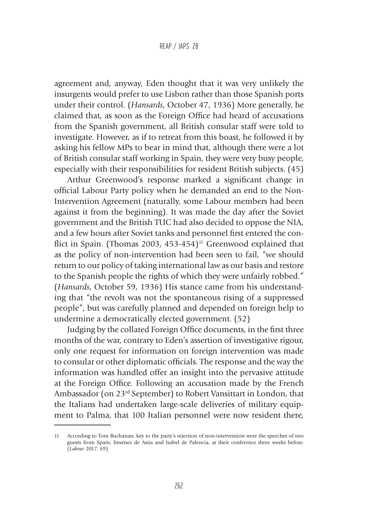#### REAP / JAPS 28

agreement and, anyway, Eden thought that it was very unlikely the insurgents would prefer to use Lisbon rather than those Spanish ports under their control. (*Hansards*, October 47, 1936) More generally, he claimed that, as soon as the Foreign Office had heard of accusations from the Spanish government, all British consular staff were told to investigate. However, as if to retreat from this boast, he followed it by asking his fellow MPs to bear in mind that, although there were a lot of British consular staff working in Spain, they were very busy people, especially with their responsibilities for resident British subjects. (45)

Arthur Greenwood's response marked a significant change in official Labour Party policy when he demanded an end to the Non-Intervention Agreement (naturally, some Labour members had been against it from the beginning). It was made the day after the Soviet government and the British TUC had also decided to oppose the NIA, and a few hours after Soviet tanks and personnel first entered the conflict in Spain. (Thomas 2003, 453-454)<sup>11</sup> Greenwood explained that as the policy of non-intervention had been seen to fail, "we should return to our policy of taking international law as our basis and restore to the Spanish people the rights of which they were unfairly robbed." (*Hansards*, October 59, 1936) His stance came from his understanding that "the revolt was not the spontaneous rising of a suppressed people", but was carefully planned and depended on foreign help to undermine a democratically elected government. (52)

Judging by the collated Foreign Office documents, in the first three months of the war, contrary to Eden's assertion of investigative rigour, only one request for information on foreign intervention was made to consular or other diplomatic officials. The response and the way the information was handled offer an insight into the pervasive attitude at the Foreign Office. Following an accusation made by the French Ambassador (on 23rd September) to Robert Vansittart in London, that the Italians had undertaken large-scale deliveries of military equipment to Palma, that 100 Italian personnel were now resident there,

<sup>11</sup> According to Tom Buchanan, key to the party's rejection of non-intervention were the speeches of two guests from Spain, Jiménez de Asúa and Isabel de Palencia, at their conference three weeks before. (*Labour* 2017, 69)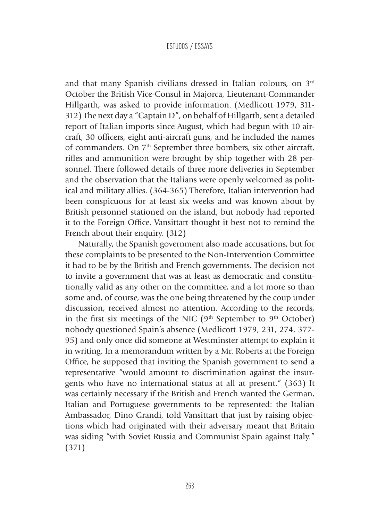and that many Spanish civilians dressed in Italian colours, on 3rd October the British Vice-Consul in Majorca, Lieutenant-Commander Hillgarth, was asked to provide information. (Medlicott 1979, 311- 312) The next day a "Captain D", on behalf of Hillgarth, sent a detailed report of Italian imports since August, which had begun with 10 aircraft, 30 officers, eight anti-aircraft guns, and he included the names of commanders. On 7<sup>th</sup> September three bombers, six other aircraft, rifles and ammunition were brought by ship together with 28 personnel. There followed details of three more deliveries in September and the observation that the Italians were openly welcomed as political and military allies. (364-365) Therefore, Italian intervention had been conspicuous for at least six weeks and was known about by British personnel stationed on the island, but nobody had reported it to the Foreign Office. Vansittart thought it best not to remind the French about their enquiry. (312)

Naturally, the Spanish government also made accusations, but for these complaints to be presented to the Non-Intervention Committee it had to be by the British and French governments. The decision not to invite a government that was at least as democratic and constitutionally valid as any other on the committee, and a lot more so than some and, of course, was the one being threatened by the coup under discussion, received almost no attention. According to the records, in the first six meetings of the NIC ( $9<sup>th</sup>$  September to  $9<sup>th</sup>$  October) nobody questioned Spain's absence (Medlicott 1979, 231, 274, 377- 95) and only once did someone at Westminster attempt to explain it in writing. In a memorandum written by a Mr. Roberts at the Foreign Office, he supposed that inviting the Spanish government to send a representative "would amount to discrimination against the insurgents who have no international status at all at present." (363) It was certainly necessary if the British and French wanted the German, Italian and Portuguese governments to be represented: the Italian Ambassador, Dino Grandi, told Vansittart that just by raising objections which had originated with their adversary meant that Britain was siding "with Soviet Russia and Communist Spain against Italy." (371)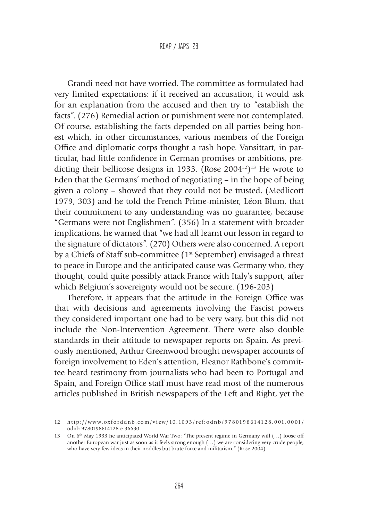Grandi need not have worried. The committee as formulated had very limited expectations: if it received an accusation, it would ask for an explanation from the accused and then try to "establish the facts". (276) Remedial action or punishment were not contemplated. Of course, establishing the facts depended on all parties being honest which, in other circumstances, various members of the Foreign Office and diplomatic corps thought a rash hope. Vansittart, in particular, had little confidence in German promises or ambitions, predicting their bellicose designs in 1933. (Rose  $2004^{12}$ )<sup>13</sup> He wrote to Eden that the Germans' method of negotiating – in the hope of being given a colony – showed that they could not be trusted, (Medlicott 1979, 303) and he told the French Prime-minister, Léon Blum, that their commitment to any understanding was no guarantee, because "Germans were not Englishmen". (356) In a statement with broader implications, he warned that "we had all learnt our lesson in regard to the signature of dictators". (270) Others were also concerned. A report by a Chiefs of Staff sub-committee (1<sup>st</sup> September) envisaged a threat to peace in Europe and the anticipated cause was Germany who, they thought, could quite possibly attack France with Italy's support, after which Belgium's sovereignty would not be secure. (196-203)

Therefore, it appears that the attitude in the Foreign Office was that with decisions and agreements involving the Fascist powers they considered important one had to be very wary, but this did not include the Non-Intervention Agreement. There were also double standards in their attitude to newspaper reports on Spain. As previously mentioned, Arthur Greenwood brought newspaper accounts of foreign involvement to Eden's attention, Eleanor Rathbone's committee heard testimony from journalists who had been to Portugal and Spain, and Foreign Office staff must have read most of the numerous articles published in British newspapers of the Left and Right, yet the

<sup>12</sup> http://www.oxforddnb.com/view/10.1093/ref:odnb/9780198614128.001.0001/ odnb-9780198614128-e-36630

<sup>13</sup> On 6<sup>th</sup> May 1933 he anticipated World War Two: "The present regime in Germany will (...) loose off another European war just as soon as it feels strong enough (…) we are considering very crude people, who have very few ideas in their noddles but brute force and militarism." (Rose 2004)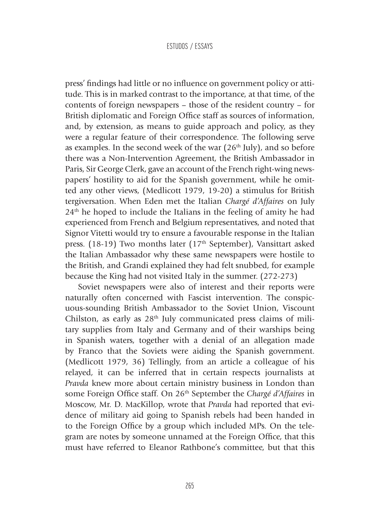press' findings had little or no influence on government policy or attitude. This is in marked contrast to the importance, at that time, of the contents of foreign newspapers – those of the resident country – for British diplomatic and Foreign Office staff as sources of information, and, by extension, as means to guide approach and policy, as they were a regular feature of their correspondence. The following serve as examples. In the second week of the war  $(26<sup>th</sup>$  July), and so before there was a Non-Intervention Agreement, the British Ambassador in Paris, Sir George Clerk, gave an account of the French right-wing newspapers' hostility to aid for the Spanish government, while he omitted any other views, (Medlicott 1979, 19-20) a stimulus for British tergiversation. When Eden met the Italian *Chargé d'Affaires* on July  $24<sup>th</sup>$  he hoped to include the Italians in the feeling of amity he had experienced from French and Belgium representatives, and noted that Signor Vitetti would try to ensure a favourable response in the Italian press. (18-19) Two months later (17<sup>th</sup> September), Vansittart asked the Italian Ambassador why these same newspapers were hostile to the British, and Grandi explained they had felt snubbed, for example because the King had not visited Italy in the summer. (272-273)

Soviet newspapers were also of interest and their reports were naturally often concerned with Fascist intervention. The conspicuous-sounding British Ambassador to the Soviet Union, Viscount Chilston, as early as  $28<sup>th</sup>$  July communicated press claims of military supplies from Italy and Germany and of their warships being in Spanish waters, together with a denial of an allegation made by Franco that the Soviets were aiding the Spanish government. (Medlicott 1979, 36) Tellingly, from an article a colleague of his relayed, it can be inferred that in certain respects journalists at *Pravda* knew more about certain ministry business in London than some Foreign Office staff. On 26th September the *Chargé d'Affaires* in Moscow, Mr. D. MacKillop, wrote that *Pravda* had reported that evidence of military aid going to Spanish rebels had been handed in to the Foreign Office by a group which included MPs. On the telegram are notes by someone unnamed at the Foreign Office, that this must have referred to Eleanor Rathbone's committee, but that this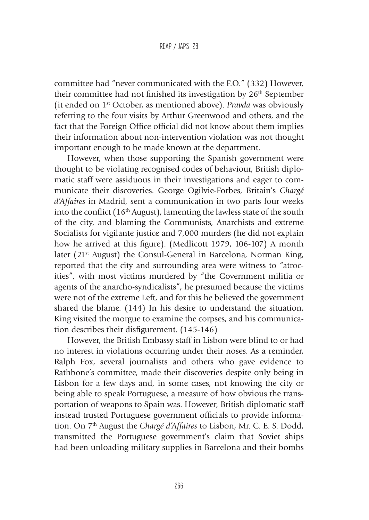committee had "never communicated with the F.O." (332) However, their committee had not finished its investigation by 26<sup>th</sup> September (it ended on 1st October, as mentioned above). *Pravda* was obviously referring to the four visits by Arthur Greenwood and others, and the fact that the Foreign Office official did not know about them implies their information about non-intervention violation was not thought important enough to be made known at the department.

However, when those supporting the Spanish government were thought to be violating recognised codes of behaviour, British diplomatic staff were assiduous in their investigations and eager to communicate their discoveries. George Ogilvie-Forbes, Britain's *Chargé d'Affaires* in Madrid, sent a communication in two parts four weeks into the conflict  $(16<sup>th</sup>$  August), lamenting the lawless state of the south of the city, and blaming the Communists, Anarchists and extreme Socialists for vigilante justice and 7,000 murders (he did not explain how he arrived at this figure). (Medlicott 1979, 106-107) A month later ( $21<sup>st</sup>$  August) the Consul-General in Barcelona, Norman King, reported that the city and surrounding area were witness to "atrocities", with most victims murdered by "the Government militia or agents of the anarcho-syndicalists", he presumed because the victims were not of the extreme Left, and for this he believed the government shared the blame. (144) In his desire to understand the situation, King visited the morgue to examine the corpses, and his communication describes their disfigurement. (145-146)

However, the British Embassy staff in Lisbon were blind to or had no interest in violations occurring under their noses. As a reminder, Ralph Fox, several journalists and others who gave evidence to Rathbone's committee, made their discoveries despite only being in Lisbon for a few days and, in some cases, not knowing the city or being able to speak Portuguese, a measure of how obvious the transportation of weapons to Spain was. However, British diplomatic staff instead trusted Portuguese government officials to provide information. On 7<sup>th</sup> August the *Chargé d'Affaires* to Lisbon, Mr. C. E. S. Dodd, transmitted the Portuguese government's claim that Soviet ships had been unloading military supplies in Barcelona and their bombs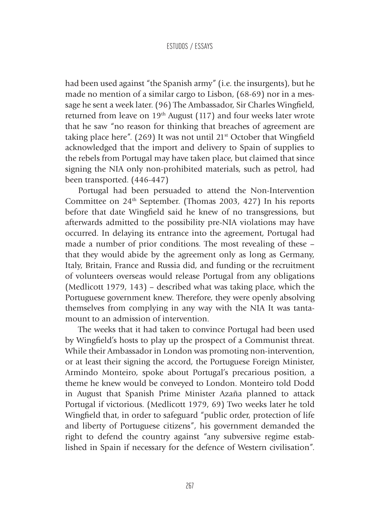had been used against "the Spanish army" (i.e. the insurgents), but he made no mention of a similar cargo to Lisbon, (68-69) nor in a message he sent a week later. (96) The Ambassador, Sir Charles Wingfield, returned from leave on  $19<sup>th</sup>$  August (117) and four weeks later wrote that he saw "no reason for thinking that breaches of agreement are taking place here". (269) It was not until  $21<sup>st</sup>$  October that Wingfield acknowledged that the import and delivery to Spain of supplies to the rebels from Portugal may have taken place, but claimed that since signing the NIA only non-prohibited materials, such as petrol, had been transported. (446-447)

Portugal had been persuaded to attend the Non-Intervention Committee on 24<sup>th</sup> September. (Thomas 2003, 427) In his reports before that date Wingfield said he knew of no transgressions, but afterwards admitted to the possibility pre-NIA violations may have occurred. In delaying its entrance into the agreement, Portugal had made a number of prior conditions. The most revealing of these – that they would abide by the agreement only as long as Germany, Italy, Britain, France and Russia did, and funding or the recruitment of volunteers overseas would release Portugal from any obligations (Medlicott 1979, 143) – described what was taking place, which the Portuguese government knew. Therefore, they were openly absolving themselves from complying in any way with the NIA It was tantamount to an admission of intervention.

The weeks that it had taken to convince Portugal had been used by Wingfield's hosts to play up the prospect of a Communist threat. While their Ambassador in London was promoting non-intervention, or at least their signing the accord, the Portuguese Foreign Minister, Armindo Monteiro, spoke about Portugal's precarious position, a theme he knew would be conveyed to London. Monteiro told Dodd in August that Spanish Prime Minister Azaña planned to attack Portugal if victorious. (Medlicott 1979, 69) Two weeks later he told Wingfield that, in order to safeguard "public order, protection of life and liberty of Portuguese citizens", his government demanded the right to defend the country against "any subversive regime established in Spain if necessary for the defence of Western civilisation".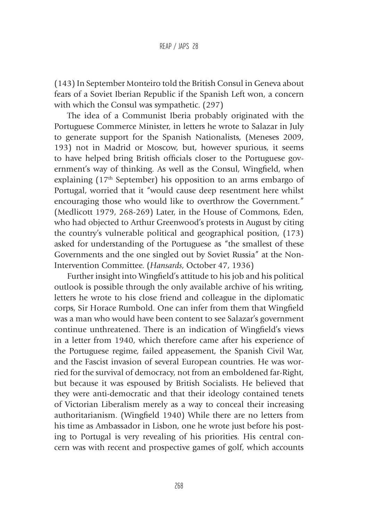(143) In September Monteiro told the British Consul in Geneva about fears of a Soviet Iberian Republic if the Spanish Left won, a concern with which the Consul was sympathetic. (297)

The idea of a Communist Iberia probably originated with the Portuguese Commerce Minister, in letters he wrote to Salazar in July to generate support for the Spanish Nationalists, (Meneses 2009, 193) not in Madrid or Moscow, but, however spurious, it seems to have helped bring British officials closer to the Portuguese government's way of thinking. As well as the Consul, Wingfield, when explaining  $(17<sup>th</sup> September)$  his opposition to an arms embargo of Portugal, worried that it "would cause deep resentment here whilst encouraging those who would like to overthrow the Government." (Medlicott 1979, 268-269) Later, in the House of Commons, Eden, who had objected to Arthur Greenwood's protests in August by citing the country's vulnerable political and geographical position, (173) asked for understanding of the Portuguese as "the smallest of these Governments and the one singled out by Soviet Russia" at the Non-Intervention Committee. (*Hansards*, October 47, 1936)

Further insight into Wingfield's attitude to his job and his political outlook is possible through the only available archive of his writing, letters he wrote to his close friend and colleague in the diplomatic corps, Sir Horace Rumbold. One can infer from them that Wingfield was a man who would have been content to see Salazar's government continue unthreatened. There is an indication of Wingfield's views in a letter from 1940, which therefore came after his experience of the Portuguese regime, failed appeasement, the Spanish Civil War, and the Fascist invasion of several European countries. He was worried for the survival of democracy, not from an emboldened far-Right, but because it was espoused by British Socialists. He believed that they were anti-democratic and that their ideology contained tenets of Victorian Liberalism merely as a way to conceal their increasing authoritarianism. (Wingfield 1940) While there are no letters from his time as Ambassador in Lisbon, one he wrote just before his posting to Portugal is very revealing of his priorities. His central concern was with recent and prospective games of golf, which accounts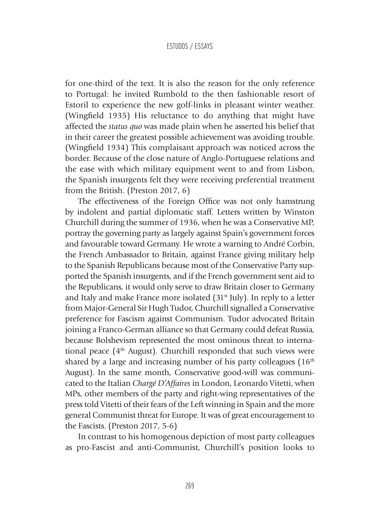for one-third of the text. It is also the reason for the only reference to Portugal: he invited Rumbold to the then fashionable resort of Estoril to experience the new golf-links in pleasant winter weather. (Wingfield 1935) His reluctance to do anything that might have affected the *status quo* was made plain when he asserted his belief that in their career the greatest possible achievement was avoiding trouble. (Wingfield 1934) This complaisant approach was noticed across the border. Because of the close nature of Anglo-Portuguese relations and the ease with which military equipment went to and from Lisbon, the Spanish insurgents felt they were receiving preferential treatment from the British. (Preston 2017, 6)

The effectiveness of the Foreign Office was not only hamstrung by indolent and partial diplomatic staff. Letters written by Winston Churchill during the summer of 1936, when he was a Conservative MP, portray the governing party as largely against Spain's government forces and favourable toward Germany. He wrote a warning to André Corbin, the French Ambassador to Britain, against France giving military help to the Spanish Republicans because most of the Conservative Party supported the Spanish insurgents, and if the French government sent aid to the Republicans, it would only serve to draw Britain closer to Germany and Italy and make France more isolated (31<sup>st</sup> July). In reply to a letter from Major-General Sir Hugh Tudor, Churchill signalled a Conservative preference for Fascism against Communism. Tudor advocated Britain joining a Franco-German alliance so that Germany could defeat Russia, because Bolshevism represented the most ominous threat to international peace  $(4<sup>th</sup>$  August). Churchill responded that such views were shared by a large and increasing number of his party colleagues  $(16<sup>th</sup>$ August). In the same month, Conservative good-will was communicated to the Italian *Chargé D'Affaires* in London, Leonardo Vitetti, when MPs, other members of the party and right-wing representatives of the press told Vitetti of their fears of the Left winning in Spain and the more general Communist threat for Europe. It was of great encouragement to the Fascists. (Preston 2017, 5-6)

In contrast to his homogenous depiction of most party colleagues as pro-Fascist and anti-Communist, Churchill's position looks to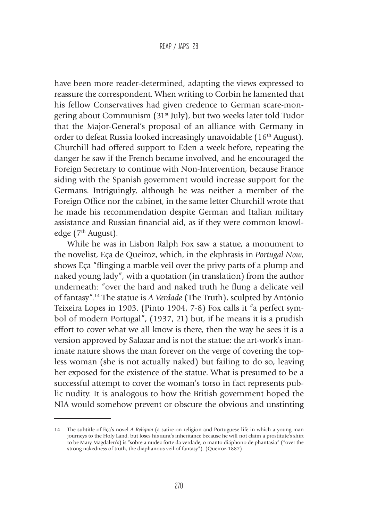have been more reader-determined, adapting the views expressed to reassure the correspondent. When writing to Corbin he lamented that his fellow Conservatives had given credence to German scare-mongering about Communism (31<sup>st</sup> July), but two weeks later told Tudor that the Major-General's proposal of an alliance with Germany in order to defeat Russia looked increasingly unavoidable (16th August). Churchill had offered support to Eden a week before, repeating the danger he saw if the French became involved, and he encouraged the Foreign Secretary to continue with Non-Intervention, because France siding with the Spanish government would increase support for the Germans. Intriguingly, although he was neither a member of the Foreign Office nor the cabinet, in the same letter Churchill wrote that he made his recommendation despite German and Italian military assistance and Russian financial aid, as if they were common knowledge (7<sup>th</sup> August).

While he was in Lisbon Ralph Fox saw a statue, a monument to the novelist, Eça de Queiroz, which, in the ekphrasis in *Portugal Now*, shows Eça "flinging a marble veil over the privy parts of a plump and naked young lady", with a quotation (in translation) from the author underneath: "over the hard and naked truth he flung a delicate veil of fantasy".14 The statue is *A Verdade* (The Truth), sculpted by António Teixeira Lopes in 1903. (Pinto 1904, 7-8) Fox calls it "a perfect symbol of modern Portugal", (1937, 21) but, if he means it is a prudish effort to cover what we all know is there, then the way he sees it is a version approved by Salazar and is not the statue: the art-work's inanimate nature shows the man forever on the verge of covering the topless woman (she is not actually naked) but failing to do so, leaving her exposed for the existence of the statue. What is presumed to be a successful attempt to cover the woman's torso in fact represents public nudity. It is analogous to how the British government hoped the NIA would somehow prevent or obscure the obvious and unstinting

<sup>14</sup> The subtitle of Eça's novel *A Reliquía* (a satire on religion and Portuguese life in which a young man journeys to the Holy Land, but loses his aunt's inheritance because he will not claim a prostitute's shirt to be Mary Magdalen's) is "sobre a nudez forte da verdade, o manto diáphono de phantasia" ("over the strong nakedness of truth, the diaphanous veil of fantasy"). (Queiroz 1887)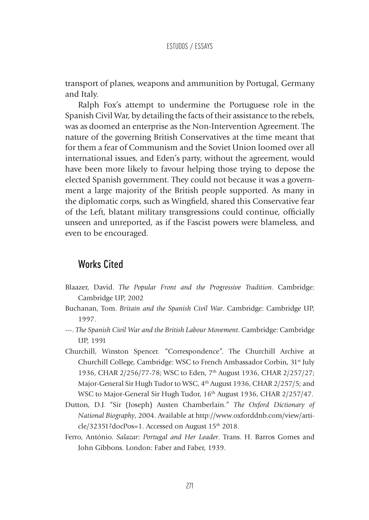transport of planes, weapons and ammunition by Portugal, Germany and Italy.

Ralph Fox's attempt to undermine the Portuguese role in the Spanish Civil War, by detailing the facts of their assistance to the rebels, was as doomed an enterprise as the Non-Intervention Agreement. The nature of the governing British Conservatives at the time meant that for them a fear of Communism and the Soviet Union loomed over all international issues, and Eden's party, without the agreement, would have been more likely to favour helping those trying to depose the elected Spanish government. They could not because it was a government a large majority of the British people supported. As many in the diplomatic corps, such as Wingfield, shared this Conservative fear of the Left, blatant military transgressions could continue, officially unseen and unreported, as if the Fascist powers were blameless, and even to be encouraged.

## Works Cited

- Blaazer, David. *The Popular Front and the Progressive Tradition*. Cambridge: Cambridge UP, 2002
- Buchanan, Tom. *Britain and the Spanish Civil War*. Cambridge: Cambridge UP, 1997.
- ---. *The Spanish Civil War and the British Labour Movement*. Cambridge: Cambridge UP, 1991
- Churchill, Winston Spencer. "Correspondence". The Churchill Archive at Churchill College, Cambridge: WSC to French Ambassador Corbin, 31st July 1936, CHAR 2/256/77-78; WSC to Eden, 7<sup>th</sup> August 1936, CHAR 2/257/27; Major-General Sir Hugh Tudor to WSC, 4<sup>th</sup> August 1936, CHAR 2/257/5; and WSC to Major-General Sir Hugh Tudor, 16<sup>th</sup> August 1936, CHAR 2/257/47.
- Dutton, D.J. "Sir (Joseph) Austen Chamberlain." *The Oxford Dictionary of National Biography*, 2004. Available at http://www.oxforddnb.com/view/article/32351?docPos=1. Accessed on August 15<sup>th</sup> 2018.
- Ferro, António. *Salazar: Portugal and Her Leader*. Trans. H. Barros Gomes and John Gibbons. London: Faber and Faber, 1939.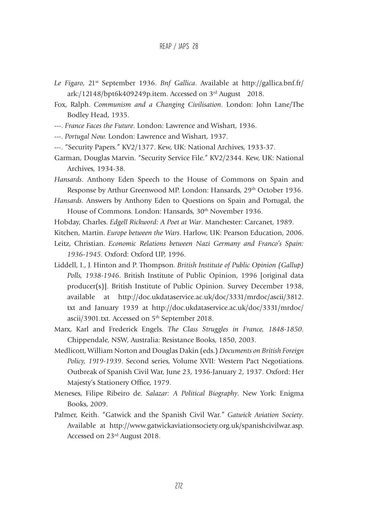- *Le Figaro*, 21st September 1936. *Bnf Gallica*. Available at http://gallica.bnf.fr/ ark:/12148/bpt6k409249p.item. Accessed on 3rd August 2018.
- Fox, Ralph. *Communism and a Changing Civilisation*. London: John Lane/The Bodley Head, 1935.
- ---. *France Faces the Future*. London: Lawrence and Wishart, 1936.
- ---. *Portugal Now.* London: Lawrence and Wishart, 1937.
- ---. "Security Papers." KV2/1377. Kew, UK: National Archives, 1933-37.
- Garman, Douglas Marvin. "Security Service File." KV2/2344. Kew, UK: National Archives, 1934-38.
- *Hansards*. Anthony Eden Speech to the House of Commons on Spain and Response by Arthur Greenwood MP. London: Hansards, 29<sup>th</sup> October 1936.
- *Hansards*. Answers by Anthony Eden to Questions on Spain and Portugal, the House of Commons. London: Hansards, 30<sup>th</sup> November 1936.
- Hobday, Charles. *Edgell Rickword: A Poet at War*. Manchester: Carcanet, 1989.
- Kitchen, Martin. *Europe between the Wars*. Harlow, UK: Pearson Education, 2006.
- Leitz, Christian. *Economic Relations between Nazi Germany and Franco's Spain: 1936-1945*. Oxford: Oxford UP, 1996.
- Liddell, I., J. Hinton and P. Thompson. *British Institute of Public Opinion (Gallup) Polls, 1938-1946*. British Institute of Public Opinion, 1996 [original data producer(s)]. British Institute of Public Opinion. Survey December 1938, available at http://doc.ukdataservice.ac.uk/doc/3331/mrdoc/ascii/3812. txt and January 1939 at http://doc.ukdataservice.ac.uk/doc/3331/mrdoc/ ascii/3901.txt. Accessed on 5<sup>th</sup> September 2018.
- Marx, Karl and Frederick Engels. *The Class Struggles in France, 1848-1850*. Chippendale, NSW, Australia: Resistance Books, 1850, 2003.
- Medlicott, William Norton and Douglas Dakin (eds.) *Documents on British Foreign Policy, 1919-1939*. Second series, Volume XVII: Western Pact Negotiations. Outbreak of Spanish Civil War, June 23, 1936-January 2, 1937. Oxford: Her Majesty's Stationery Office, 1979.
- Meneses, Filipe Ribeiro de. *Salazar: A Political Biography*. New York: Enigma Books, 2009.
- Palmer, Keith. "Gatwick and the Spanish Civil War." *Gatwick Aviation Society*. Available at http://www.gatwickaviationsociety.org.uk/spanishcivilwar.asp. Accessed on 23rd August 2018.